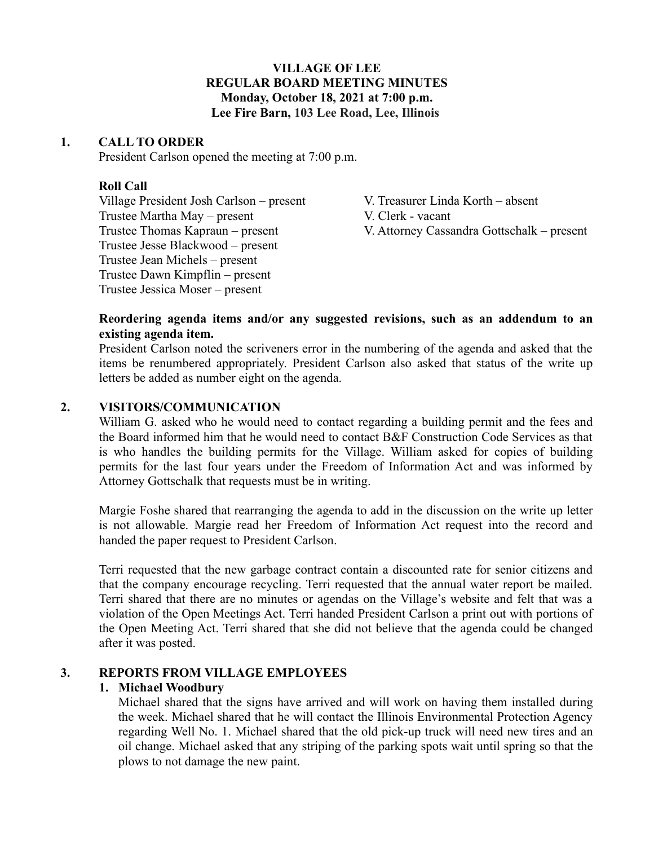# **VILLAGE OF LEE REGULAR BOARD MEETING MINUTES Monday, October 18, 2021 at 7:00 p.m. Lee Fire Barn, 103 Lee Road, Lee, Illinois**

## **1. CALL TO ORDER**

President Carlson opened the meeting at 7:00 p.m.

# **Roll Call**

Village President Josh Carlson – present V. Treasurer Linda Korth – absent Trustee Martha May – present V. Clerk - vacant Trustee Jesse Blackwood – present Trustee Jean Michels – present Trustee Dawn Kimpflin – present Trustee Jessica Moser – present

Trustee Thomas Kapraun – present V. Attorney Cassandra Gottschalk – present

## **Reordering agenda items and/or any suggested revisions, such as an addendum to an existing agenda item.**

President Carlson noted the scriveners error in the numbering of the agenda and asked that the items be renumbered appropriately. President Carlson also asked that status of the write up letters be added as number eight on the agenda.

# **2. VISITORS/COMMUNICATION**

William G. asked who he would need to contact regarding a building permit and the fees and the Board informed him that he would need to contact B&F Construction Code Services as that is who handles the building permits for the Village. William asked for copies of building permits for the last four years under the Freedom of Information Act and was informed by Attorney Gottschalk that requests must be in writing.

Margie Foshe shared that rearranging the agenda to add in the discussion on the write up letter is not allowable. Margie read her Freedom of Information Act request into the record and handed the paper request to President Carlson.

Terri requested that the new garbage contract contain a discounted rate for senior citizens and that the company encourage recycling. Terri requested that the annual water report be mailed. Terri shared that there are no minutes or agendas on the Village's website and felt that was a violation of the Open Meetings Act. Terri handed President Carlson a print out with portions of the Open Meeting Act. Terri shared that she did not believe that the agenda could be changed after it was posted.

# **3. REPORTS FROM VILLAGE EMPLOYEES**

# **1. Michael Woodbury**

Michael shared that the signs have arrived and will work on having them installed during the week. Michael shared that he will contact the Illinois Environmental Protection Agency regarding Well No. 1. Michael shared that the old pick-up truck will need new tires and an oil change. Michael asked that any striping of the parking spots wait until spring so that the plows to not damage the new paint.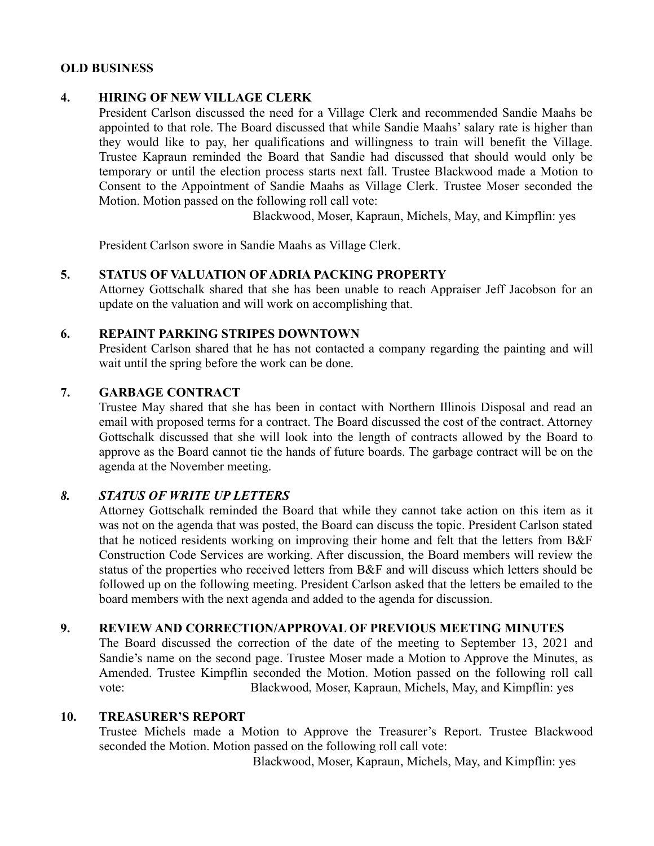## **OLD BUSINESS**

## **4. HIRING OF NEW VILLAGE CLERK**

President Carlson discussed the need for a Village Clerk and recommended Sandie Maahs be appointed to that role. The Board discussed that while Sandie Maahs' salary rate is higher than they would like to pay, her qualifications and willingness to train will benefit the Village. Trustee Kapraun reminded the Board that Sandie had discussed that should would only be temporary or until the election process starts next fall. Trustee Blackwood made a Motion to Consent to the Appointment of Sandie Maahs as Village Clerk. Trustee Moser seconded the Motion. Motion passed on the following roll call vote:

Blackwood, Moser, Kapraun, Michels, May, and Kimpflin: yes

President Carlson swore in Sandie Maahs as Village Clerk.

### **5. STATUS OF VALUATION OF ADRIA PACKING PROPERTY**

Attorney Gottschalk shared that she has been unable to reach Appraiser Jeff Jacobson for an update on the valuation and will work on accomplishing that.

### **6. REPAINT PARKING STRIPES DOWNTOWN**

President Carlson shared that he has not contacted a company regarding the painting and will wait until the spring before the work can be done.

### **7. GARBAGE CONTRACT**

Trustee May shared that she has been in contact with Northern Illinois Disposal and read an email with proposed terms for a contract. The Board discussed the cost of the contract. Attorney Gottschalk discussed that she will look into the length of contracts allowed by the Board to approve as the Board cannot tie the hands of future boards. The garbage contract will be on the agenda at the November meeting.

# *8. STATUS OF WRITE UP LETTERS*

Attorney Gottschalk reminded the Board that while they cannot take action on this item as it was not on the agenda that was posted, the Board can discuss the topic. President Carlson stated that he noticed residents working on improving their home and felt that the letters from B&F Construction Code Services are working. After discussion, the Board members will review the status of the properties who received letters from B&F and will discuss which letters should be followed up on the following meeting. President Carlson asked that the letters be emailed to the board members with the next agenda and added to the agenda for discussion.

### **9. REVIEW AND CORRECTION/APPROVAL OF PREVIOUS MEETING MINUTES**

The Board discussed the correction of the date of the meeting to September 13, 2021 and Sandie's name on the second page. Trustee Moser made a Motion to Approve the Minutes, as Amended. Trustee Kimpflin seconded the Motion. Motion passed on the following roll call vote: Blackwood, Moser, Kapraun, Michels, May, and Kimpflin: yes

# **10. TREASURER'S REPORT**

Trustee Michels made a Motion to Approve the Treasurer's Report. Trustee Blackwood seconded the Motion. Motion passed on the following roll call vote:

Blackwood, Moser, Kapraun, Michels, May, and Kimpflin: yes